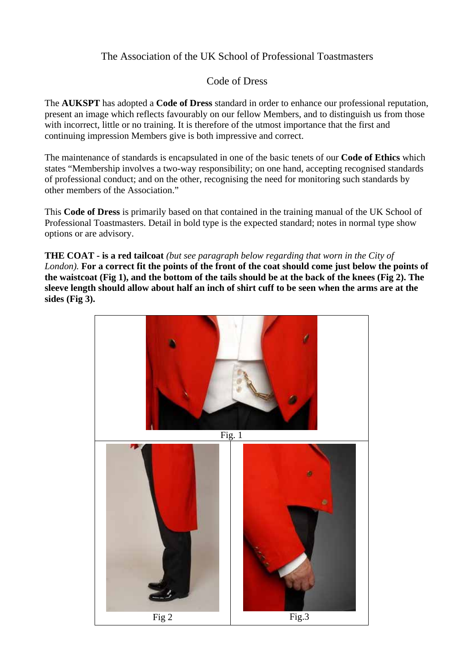# The Association of the UK School of Professional Toastmasters

# Code of Dress

The **AUKSPT** has adopted a **Code of Dress** standard in order to enhance our professional reputation, present an image which reflects favourably on our fellow Members, and to distinguish us from those with incorrect, little or no training. It is therefore of the utmost importance that the first and continuing impression Members give is both impressive and correct.

The maintenance of standards is encapsulated in one of the basic tenets of our **Code of Ethics** which states "Membership involves a two-way responsibility; on one hand, accepting recognised standards of professional conduct; and on the other, recognising the need for monitoring such standards by other members of the Association."

This **Code of Dress** is primarily based on that contained in the training manual of the UK School of Professional Toastmasters. Detail in bold type is the expected standard; notes in normal type show options or are advisory.

**THE COAT - is a red tailcoat** *(but see paragraph below regarding that worn in the City of London).* **For a correct fit the points of the front of the coat should come just below the points of the waistcoat (Fig 1), and the bottom of the tails should be at the back of the knees (Fig 2). The sleeve length should allow about half an inch of shirt cuff to be seen when the arms are at the sides (Fig 3).** 

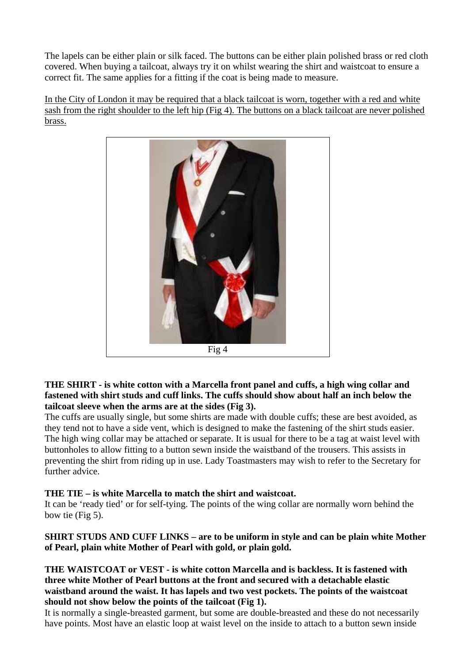The lapels can be either plain or silk faced. The buttons can be either plain polished brass or red cloth covered. When buying a tailcoat, always try it on whilst wearing the shirt and waistcoat to ensure a correct fit. The same applies for a fitting if the coat is being made to measure.

In the City of London it may be required that a black tailcoat is worn, together with a red and white sash from the right shoulder to the left hip (Fig 4). The buttons on a black tailcoat are never polished brass.



**THE SHIRT - is white cotton with a Marcella front panel and cuffs, a high wing collar and fastened with shirt studs and cuff links. The cuffs should show about half an inch below the tailcoat sleeve when the arms are at the sides (Fig 3).**

The cuffs are usually single, but some shirts are made with double cuffs; these are best avoided, as they tend not to have a side vent, which is designed to make the fastening of the shirt studs easier. The high wing collar may be attached or separate. It is usual for there to be a tag at waist level with buttonholes to allow fitting to a button sewn inside the waistband of the trousers. This assists in preventing the shirt from riding up in use. Lady Toastmasters may wish to refer to the Secretary for further advice.

# **THE TIE – is white Marcella to match the shirt and waistcoat.**

It can be 'ready tied' or for self-tying. The points of the wing collar are normally worn behind the bow tie (Fig 5).

**SHIRT STUDS AND CUFF LINKS – are to be uniform in style and can be plain white Mother of Pearl, plain white Mother of Pearl with gold, or plain gold.** 

## **THE WAISTCOAT or VEST - is white cotton Marcella and is backless. It is fastened with three white Mother of Pearl buttons at the front and secured with a detachable elastic waistband around the waist. It has lapels and two vest pockets. The points of the waistcoat should not show below the points of the tailcoat (Fig 1).**

It is normally a single-breasted garment, but some are double-breasted and these do not necessarily have points. Most have an elastic loop at waist level on the inside to attach to a button sewn inside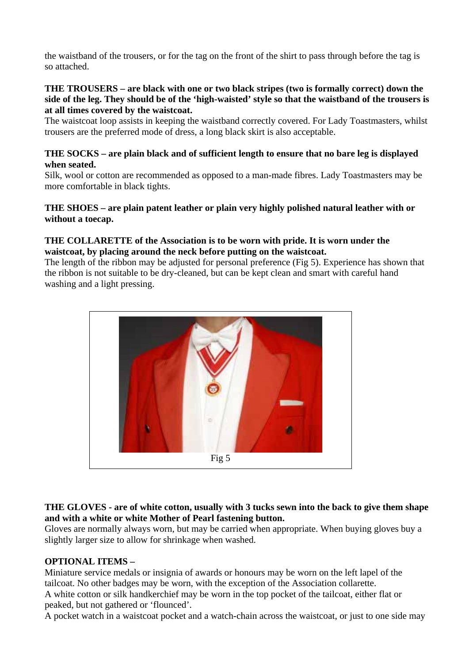the waistband of the trousers, or for the tag on the front of the shirt to pass through before the tag is so attached.

### **THE TROUSERS – are black with one or two black stripes (two is formally correct) down the side of the leg. They should be of the 'high-waisted' style so that the waistband of the trousers is at all times covered by the waistcoat.**

The waistcoat loop assists in keeping the waistband correctly covered. For Lady Toastmasters, whilst trousers are the preferred mode of dress, a long black skirt is also acceptable.

# **THE SOCKS – are plain black and of sufficient length to ensure that no bare leg is displayed when seated.**

Silk, wool or cotton are recommended as opposed to a man-made fibres. Lady Toastmasters may be more comfortable in black tights.

# **THE SHOES – are plain patent leather or plain very highly polished natural leather with or without a toecap.**

## **THE COLLARETTE of the Association is to be worn with pride. It is worn under the waistcoat, by placing around the neck before putting on the waistcoat.**

The length of the ribbon may be adjusted for personal preference (Fig 5). Experience has shown that the ribbon is not suitable to be dry-cleaned, but can be kept clean and smart with careful hand washing and a light pressing.



# **THE GLOVES - are of white cotton, usually with 3 tucks sewn into the back to give them shape and with a white or white Mother of Pearl fastening button.**

Gloves are normally always worn, but may be carried when appropriate. When buying gloves buy a slightly larger size to allow for shrinkage when washed.

# **OPTIONAL ITEMS –**

Miniature service medals or insignia of awards or honours may be worn on the left lapel of the tailcoat. No other badges may be worn, with the exception of the Association collarette.

A white cotton or silk handkerchief may be worn in the top pocket of the tailcoat, either flat or peaked, but not gathered or 'flounced'.

A pocket watch in a waistcoat pocket and a watch-chain across the waistcoat, or just to one side may